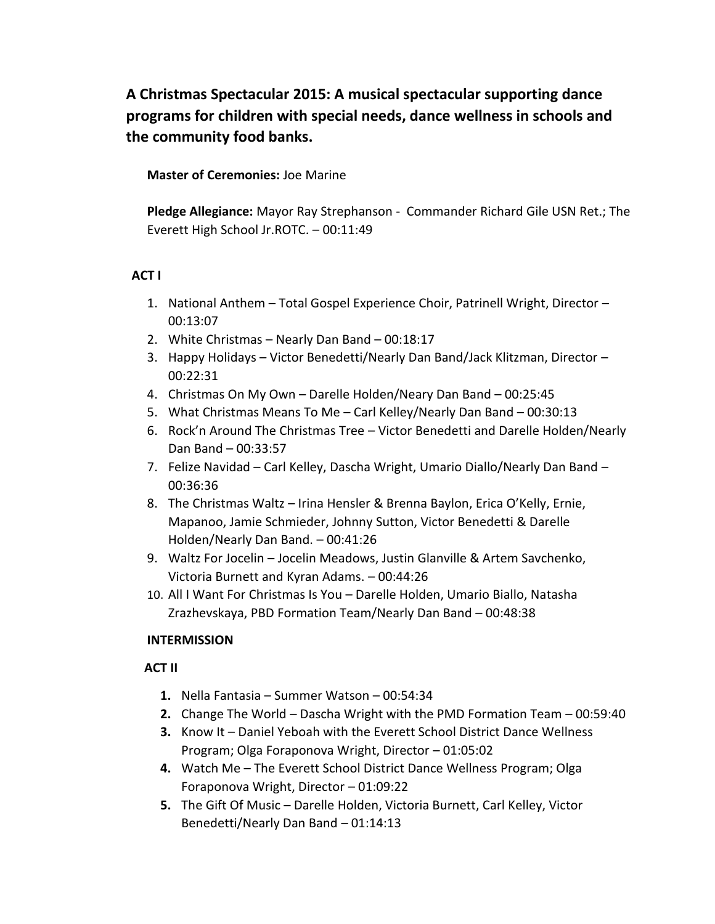## **A Christmas Spectacular 2015: A musical spectacular supporting dance programs for children with special needs, dance wellness in schools and the community food banks.**

**Master of Ceremonies:** Joe Marine

**Pledge Allegiance:** Mayor Ray Strephanson - Commander Richard Gile USN Ret.; The Everett High School Jr.ROTC. – 00:11:49

## **ACT I**

- 1. National Anthem Total Gospel Experience Choir, Patrinell Wright, Director 00:13:07
- 2. White Christmas Nearly Dan Band 00:18:17
- 3. Happy Holidays Victor Benedetti/Nearly Dan Band/Jack Klitzman, Director 00:22:31
- 4. Christmas On My Own Darelle Holden/Neary Dan Band 00:25:45
- 5. What Christmas Means To Me Carl Kelley/Nearly Dan Band 00:30:13
- 6. Rock'n Around The Christmas Tree Victor Benedetti and Darelle Holden/Nearly Dan Band – 00:33:57
- 7. Felize Navidad Carl Kelley, Dascha Wright, Umario Diallo/Nearly Dan Band 00:36:36
- 8. The Christmas Waltz Irina Hensler & Brenna Baylon, Erica O'Kelly, Ernie, Mapanoo, Jamie Schmieder, Johnny Sutton, Victor Benedetti & Darelle Holden/Nearly Dan Band. – 00:41:26
- 9. Waltz For Jocelin Jocelin Meadows, Justin Glanville & Artem Savchenko, Victoria Burnett and Kyran Adams. – 00:44:26
- 10. All I Want For Christmas Is You Darelle Holden, Umario Biallo, Natasha Zrazhevskaya, PBD Formation Team/Nearly Dan Band – 00:48:38

## **INTERMISSION**

## **ACT II**

- **1.** Nella Fantasia Summer Watson 00:54:34
- **2.** Change The World Dascha Wright with the PMD Formation Team 00:59:40
- **3.** Know It Daniel Yeboah with the Everett School District Dance Wellness Program; Olga Foraponova Wright, Director – 01:05:02
- **4.** Watch Me The Everett School District Dance Wellness Program; Olga Foraponova Wright, Director – 01:09:22
- **5.** The Gift Of Music Darelle Holden, Victoria Burnett, Carl Kelley, Victor Benedetti/Nearly Dan Band – 01:14:13